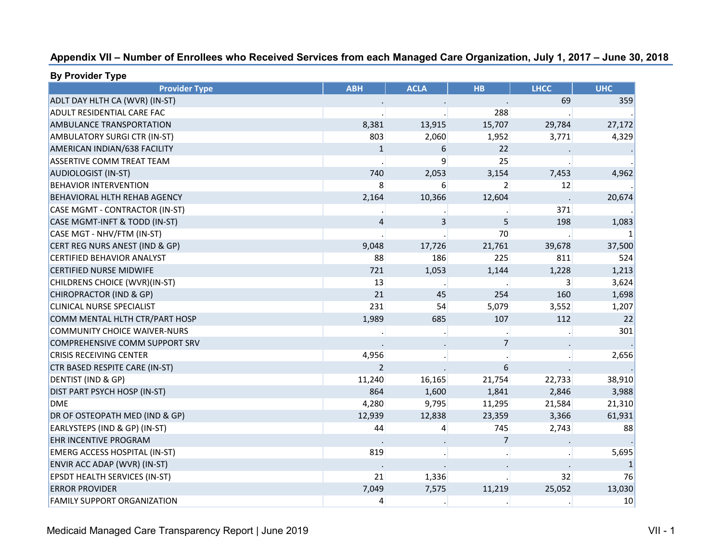| Appendix VII - Number of Enrollees who Received Services from each Managed Care Organization, July 1, 2017 - June 30, 2018 |  |  |  |
|----------------------------------------------------------------------------------------------------------------------------|--|--|--|
|----------------------------------------------------------------------------------------------------------------------------|--|--|--|

| <b>Provider Type</b>                 | <b>ABH</b>   | <b>ACLA</b> | <b>HB</b> | <b>LHCC</b> | <b>UHC</b>      |
|--------------------------------------|--------------|-------------|-----------|-------------|-----------------|
| ADLT DAY HLTH CA (WVR) (IN-ST)       |              |             |           | 69          | 359             |
| ADULT RESIDENTIAL CARE FAC           |              |             | 288       |             |                 |
| AMBULANCE TRANSPORTATION             | 8,381        | 13,915      | 15,707    | 29,784      | 27,172          |
| AMBULATORY SURGI CTR (IN-ST)         | 803          | 2,060       | 1,952     | 3,771       | 4,329           |
| AMERICAN INDIAN/638 FACILITY         | $\mathbf{1}$ | 6           | 22        |             |                 |
| ASSERTIVE COMM TREAT TEAM            |              | 9           | 25        |             |                 |
| <b>AUDIOLOGIST (IN-ST)</b>           | 740          | 2,053       | 3,154     | 7,453       | 4,962           |
| <b>BEHAVIOR INTERVENTION</b>         | 8            | 6           | 2         | 12          |                 |
| BEHAVIORAL HLTH REHAB AGENCY         | 2,164        | 10,366      | 12,604    |             | 20,674          |
| CASE MGMT - CONTRACTOR (IN-ST)       |              |             |           | 371         |                 |
| CASE MGMT-INFT & TODD (IN-ST)        | 4            | 3           | 5         | 198         | 1,083           |
| CASE MGT - NHV/FTM (IN-ST)           |              |             | 70        |             |                 |
| CERT REG NURS ANEST (IND & GP)       | 9,048        | 17,726      | 21,761    | 39,678      | 37,500          |
| CERTIFIED BEHAVIOR ANALYST           | 88           | 186         | 225       | 811         | 524             |
| <b>CERTIFIED NURSE MIDWIFE</b>       | 721          | 1,053       | 1,144     | 1,228       | 1,213           |
| CHILDRENS CHOICE (WVR)(IN-ST)        | 13           |             |           | 3           | 3,624           |
| CHIROPRACTOR (IND & GP)              | 21           | 45          | 254       | 160         | 1,698           |
| CLINICAL NURSE SPECIALIST            | 231          | 54          | 5,079     | 3,552       | 1,207           |
| COMM MENTAL HLTH CTR/PART HOSP       | 1,989        | 685         | 107       | 112         | 22              |
| <b>COMMUNITY CHOICE WAIVER-NURS</b>  |              |             |           |             | 301             |
| COMPREHENSIVE COMM SUPPORT SRV       |              |             | 7         |             |                 |
| <b>CRISIS RECEIVING CENTER</b>       | 4,956        |             |           |             | 2,656           |
| CTR BASED RESPITE CARE (IN-ST)       | 2            |             | 6         |             |                 |
| DENTIST (IND & GP)                   | 11,240       | 16,165      | 21,754    | 22,733      | 38,910          |
| DIST PART PSYCH HOSP (IN-ST)         | 864          | 1,600       | 1,841     | 2,846       | 3,988           |
| DME                                  | 4,280        | 9,795       | 11,295    | 21,584      | 21,310          |
| DR OF OSTEOPATH MED (IND & GP)       | 12,939       | 12,838      | 23,359    | 3,366       | 61,931          |
| EARLYSTEPS (IND & GP) (IN-ST)        | 44           | 4           | 745       | 2,743       | 88              |
| EHR INCENTIVE PROGRAM                |              |             | 7         |             |                 |
| <b>EMERG ACCESS HOSPITAL (IN-ST)</b> | 819          |             |           |             | 5,695           |
| ENVIR ACC ADAP (WVR) (IN-ST)         |              |             |           |             |                 |
| EPSDT HEALTH SERVICES (IN-ST)        | 21           | 1,336       |           | 32          | 76              |
| <b>ERROR PROVIDER</b>                | 7,049        | 7,575       | 11,219    | 25,052      | 13,030          |
| <b>FAMILY SUPPORT ORGANIZATION</b>   | 4            |             |           |             | 10 <sup>°</sup> |

**By Provider Type**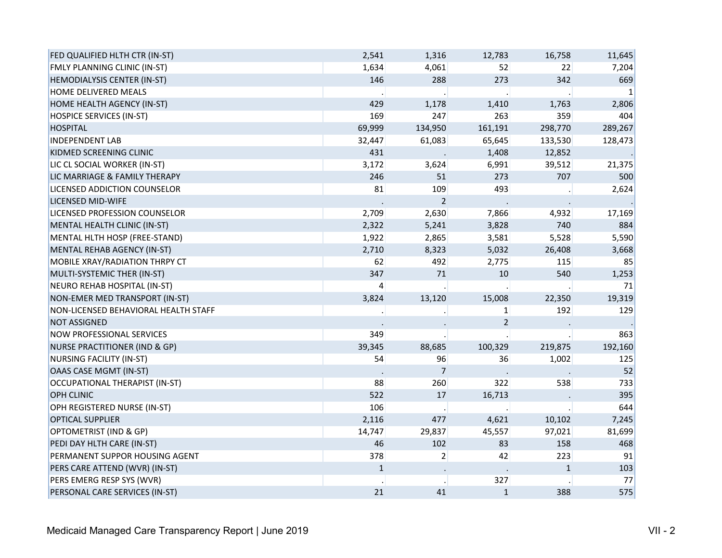| FED QUALIFIED HLTH CTR (IN-ST)           | 2,541          | 1,316          | 12,783         | 16,758       | 11,645  |
|------------------------------------------|----------------|----------------|----------------|--------------|---------|
| FMLY PLANNING CLINIC (IN-ST)             | 1,634          | 4,061          | 52             | 22           | 7,204   |
| HEMODIALYSIS CENTER (IN-ST)              | 146            | 288            | 273            | 342          | 669     |
| <b>HOME DELIVERED MEALS</b>              |                |                |                |              | 1       |
| HOME HEALTH AGENCY (IN-ST)               | 429            | 1,178          | 1,410          | 1,763        | 2,806   |
| <b>HOSPICE SERVICES (IN-ST)</b>          | 169            | 247            | 263            | 359          | 404     |
| <b>HOSPITAL</b>                          | 69,999         | 134,950        | 161,191        | 298,770      | 289,267 |
| <b>INDEPENDENT LAB</b>                   | 32,447         | 61,083         | 65,645         | 133,530      | 128,473 |
| KIDMED SCREENING CLINIC                  | 431            |                | 1,408          | 12,852       |         |
| LIC CL SOCIAL WORKER (IN-ST)             | 3,172          | 3,624          | 6,991          | 39,512       | 21,375  |
| LIC MARRIAGE & FAMILY THERAPY            | 246            | 51             | 273            | 707          | 500     |
| LICENSED ADDICTION COUNSELOR             | 81             | 109            | 493            |              | 2,624   |
| LICENSED MID-WIFE                        |                | 2              |                |              |         |
| LICENSED PROFESSION COUNSELOR            | 2,709          | 2,630          | 7,866          | 4,932        | 17,169  |
| MENTAL HEALTH CLINIC (IN-ST)             | 2,322          | 5,241          | 3,828          | 740          | 884     |
| MENTAL HLTH HOSP (FREE-STAND)            | 1,922          | 2,865          | 3,581          | 5,528        | 5,590   |
| MENTAL REHAB AGENCY (IN-ST)              | 2,710          | 8,323          | 5,032          | 26,408       | 3,668   |
| MOBILE XRAY/RADIATION THRPY CT           | 62             | 492            | 2,775          | 115          | 85      |
| MULTI-SYSTEMIC THER (IN-ST)              | 347            | 71             | 10             | 540          | 1,253   |
| NEURO REHAB HOSPITAL (IN-ST)             | $\overline{4}$ |                |                |              | 71      |
| NON-EMER MED TRANSPORT (IN-ST)           | 3,824          | 13,120         | 15,008         | 22,350       | 19,319  |
| NON-LICENSED BEHAVIORAL HEALTH STAFF     |                |                | $\mathbf{1}$   | 192          | 129     |
| <b>NOT ASSIGNED</b>                      |                |                | $\overline{2}$ |              |         |
| <b>NOW PROFESSIONAL SERVICES</b>         | 349            |                |                |              | 863     |
| <b>NURSE PRACTITIONER (IND &amp; GP)</b> | 39,345         | 88,685         | 100,329        | 219,875      | 192,160 |
| NURSING FACILITY (IN-ST)                 | 54             | 96             | 36             | 1,002        | 125     |
| <b>OAAS CASE MGMT (IN-ST)</b>            |                | $\overline{7}$ |                |              | 52      |
| OCCUPATIONAL THERAPIST (IN-ST)           | 88             | 260            | 322            | 538          | 733     |
| <b>OPH CLINIC</b>                        | 522            | 17             | 16,713         |              | 395     |
| OPH REGISTERED NURSE (IN-ST)             | 106            |                |                |              | 644     |
| <b>OPTICAL SUPPLIER</b>                  | 2,116          | 477            | 4,621          | 10,102       | 7,245   |
| OPTOMETRIST (IND & GP)                   | 14,747         | 29,837         | 45,557         | 97,021       | 81,699  |
| PEDI DAY HLTH CARE (IN-ST)               | 46             | 102            | 83             | 158          | 468     |
| PERMANENT SUPPOR HOUSING AGENT           | 378            | $\overline{2}$ | 42             | 223          | 91      |
| PERS CARE ATTEND (WVR) (IN-ST)           | $\mathbf{1}$   |                |                | $\mathbf{1}$ | 103     |
| PERS EMERG RESP SYS (WVR)                |                |                | 327            |              | 77      |
| PERSONAL CARE SERVICES (IN-ST)           | 21             | 41             | $\mathbf 1$    | 388          | 575     |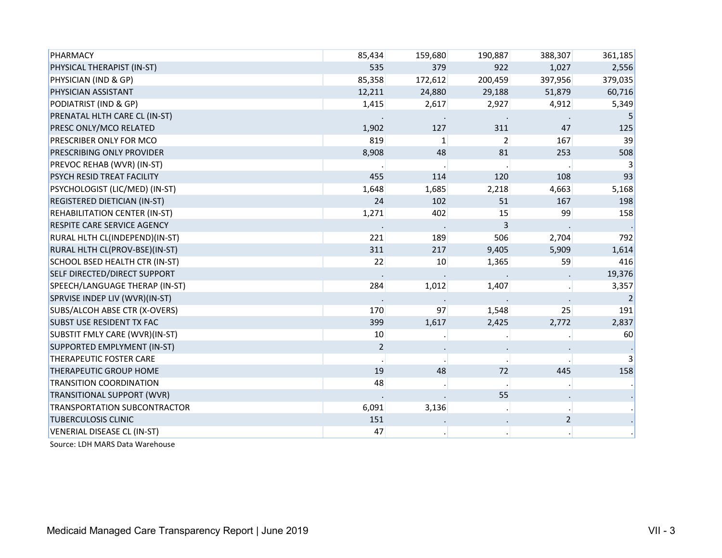| <b>PHARMACY</b>                      | 85,434         | 159,680         | 190,887        | 388,307        | 361,185 |
|--------------------------------------|----------------|-----------------|----------------|----------------|---------|
| PHYSICAL THERAPIST (IN-ST)           | 535            | 379             | 922            | 1,027          | 2,556   |
| PHYSICIAN (IND & GP)                 | 85,358         | 172,612         | 200,459        | 397,956        | 379,035 |
| PHYSICIAN ASSISTANT                  | 12,211         | 24,880          | 29,188         | 51,879         | 60,716  |
| PODIATRIST (IND & GP)                | 1,415          | 2,617           | 2,927          | 4,912          | 5,349   |
| PRENATAL HLTH CARE CL (IN-ST)        |                |                 |                |                | 5       |
| PRESC ONLY/MCO RELATED               | 1,902          | 127             | 311            | 47             | 125     |
| PRESCRIBER ONLY FOR MCO              | 819            | $1\vert$        | $\overline{2}$ | 167            | 39      |
| PRESCRIBING ONLY PROVIDER            | 8,908          | 48              | 81             | 253            | 508     |
| PREVOC REHAB (WVR) (IN-ST)           |                |                 |                |                | 3       |
| <b>PSYCH RESID TREAT FACILITY</b>    | 455            | 114             | 120            | 108            | 93      |
| PSYCHOLOGIST (LIC/MED) (IN-ST)       | 1,648          | 1,685           | 2,218          | 4,663          | 5,168   |
| <b>REGISTERED DIETICIAN (IN-ST)</b>  | 24             | 102             | 51             | 167            | 198     |
| <b>REHABILITATION CENTER (IN-ST)</b> | 1,271          | 402             | 15             | 99             | 158     |
| <b>RESPITE CARE SERVICE AGENCY</b>   |                |                 | 3              |                |         |
| RURAL HLTH CL(INDEPEND)(IN-ST)       | 221            | 189             | 506            | 2,704          | 792     |
| RURAL HLTH CL(PROV-BSE)(IN-ST)       | 311            | 217             | 9,405          | 5,909          | 1,614   |
| SCHOOL BSED HEALTH CTR (IN-ST)       | 22             | 10 <sup>°</sup> | 1,365          | 59             | 416     |
| SELF DIRECTED/DIRECT SUPPORT         |                |                 |                |                | 19,376  |
| SPEECH/LANGUAGE THERAP (IN-ST)       | 284            | 1,012           | 1,407          |                | 3,357   |
| SPRVISE INDEP LIV (WVR)(IN-ST)       |                |                 |                |                | 2       |
| SUBS/ALCOH ABSE CTR (X-OVERS)        | 170            | 97              | 1,548          | 25             | 191     |
| <b>SUBST USE RESIDENT TX FAC</b>     | 399            | 1,617           | 2,425          | 2,772          | 2,837   |
| SUBSTIT FMLY CARE (WVR)(IN-ST)       | 10             |                 |                |                | 60      |
| SUPPORTED EMPLYMENT (IN-ST)          | $\overline{2}$ |                 |                |                |         |
| THERAPEUTIC FOSTER CARE              |                |                 |                |                |         |
| <b>THERAPEUTIC GROUP HOME</b>        | 19             | 48              | 72             | 445            | 158     |
| <b>TRANSITION COORDINATION</b>       | 48             |                 |                |                |         |
| TRANSITIONAL SUPPORT (WVR)           |                |                 | 55             |                |         |
| <b>TRANSPORTATION SUBCONTRACTOR</b>  | 6,091          | 3,136           |                |                |         |
| <b>TUBERCULOSIS CLINIC</b>           | 151            |                 |                | $\overline{a}$ |         |
| VENERIAL DISEASE CL (IN-ST)          | 47             |                 |                |                |         |

Source: LDH MARS Data Warehouse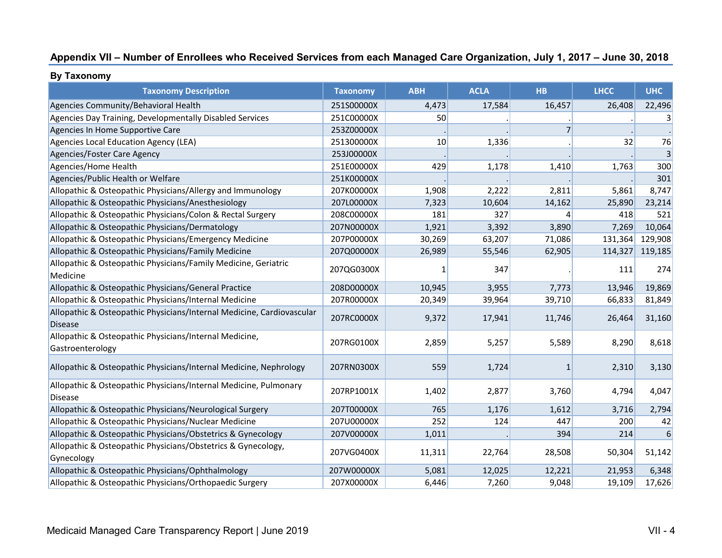## **Appendix VII – Number of Enrollees who Received Services from each Managed Care Organization, July 1, 2017 – June 30, 2018**

| By Taxonomy |  |
|-------------|--|

| <b>Taxonomy Description</b>                                                             | <b>Taxonomy</b> | <b>ABH</b> | <b>ACLA</b> | <b>HB</b>      | <b>LHCC</b> | <b>UHC</b>     |
|-----------------------------------------------------------------------------------------|-----------------|------------|-------------|----------------|-------------|----------------|
| Agencies Community/Behavioral Health                                                    | 251S00000X      | 4,473      | 17,584      | 16,457         | 26,408      | 22,496         |
| Agencies Day Training, Developmentally Disabled Services                                | 251C00000X      | 50         |             |                |             |                |
| Agencies In Home Supportive Care                                                        | 253Z00000X      |            |             | 7 <sup>1</sup> |             |                |
| Agencies Local Education Agency (LEA)                                                   | 251300000X      | 10         | 1,336       |                | 32          | 76             |
| Agencies/Foster Care Agency                                                             | 253J00000X      |            |             |                |             | $\overline{3}$ |
| Agencies/Home Health                                                                    | 251E00000X      | 429        | 1,178       | 1,410          | 1,763       | 300            |
| Agencies/Public Health or Welfare                                                       | 251K00000X      |            |             |                |             | 301            |
| Allopathic & Osteopathic Physicians/Allergy and Immunology                              | 207K00000X      | 1,908      | 2,222       | 2,811          | 5,861       | 8,747          |
| Allopathic & Osteopathic Physicians/Anesthesiology                                      | 207L00000X      | 7,323      | 10,604      | 14,162         | 25,890      | 23,214         |
| Allopathic & Osteopathic Physicians/Colon & Rectal Surgery                              | 208C00000X      | 181        | 327         | 4              | 418         | 521            |
| Allopathic & Osteopathic Physicians/Dermatology                                         | 207N00000X      | 1,921      | 3,392       | 3,890          | 7,269       | 10,064         |
| Allopathic & Osteopathic Physicians/Emergency Medicine                                  | 207P00000X      | 30,269     | 63,207      | 71,086         | 131,364     | 129,908        |
| Allopathic & Osteopathic Physicians/Family Medicine                                     | 207Q00000X      | 26,989     | 55,546      | 62,905         | 114,327     | 119,185        |
| Allopathic & Osteopathic Physicians/Family Medicine, Geriatric                          | 207QG0300X      | 1          | 347         |                | 111         | 274            |
| Medicine                                                                                |                 |            |             |                |             |                |
| Allopathic & Osteopathic Physicians/General Practice                                    | 208D00000X      | 10,945     | 3,955       | 7,773          | 13,946      | 19,869         |
| Allopathic & Osteopathic Physicians/Internal Medicine                                   | 207R00000X      | 20,349     | 39,964      | 39,710         | 66,833      | 81,849         |
| Allopathic & Osteopathic Physicians/Internal Medicine, Cardiovascular<br><b>Disease</b> | 207RC0000X      | 9,372      | 17,941      | 11,746         | 26,464      | 31,160         |
| Allopathic & Osteopathic Physicians/Internal Medicine,<br>Gastroenterology              | 207RG0100X      | 2,859      | 5,257       | 5,589          | 8,290       | 8,618          |
| Allopathic & Osteopathic Physicians/Internal Medicine, Nephrology                       | 207RN0300X      | 559        | 1,724       | $\mathbf{1}$   | 2,310       | 3,130          |
| Allopathic & Osteopathic Physicians/Internal Medicine, Pulmonary<br><b>Disease</b>      | 207RP1001X      | 1,402      | 2,877       | 3,760          | 4,794       | 4,047          |
| Allopathic & Osteopathic Physicians/Neurological Surgery                                | 207T00000X      | 765        | 1,176       | 1,612          | 3,716       | 2,794          |
| Allopathic & Osteopathic Physicians/Nuclear Medicine                                    | 207U00000X      | 252        | 124         | 447            | 200         | 42             |
| Allopathic & Osteopathic Physicians/Obstetrics & Gynecology                             | 207V00000X      | 1,011      |             | 394            | 214         | 6              |
| Allopathic & Osteopathic Physicians/Obstetrics & Gynecology,                            | 207VG0400X      |            |             | 28,508         | 50,304      |                |
| Gynecology                                                                              |                 | 11,311     | 22,764      |                |             | 51,142         |
| Allopathic & Osteopathic Physicians/Ophthalmology                                       | 207W00000X      | 5,081      | 12,025      | 12,221         | 21,953      | 6,348          |
| Allopathic & Osteopathic Physicians/Orthopaedic Surgery                                 | 207X00000X      | 6,446      | 7,260       | 9,048          | 19,109      | 17,626         |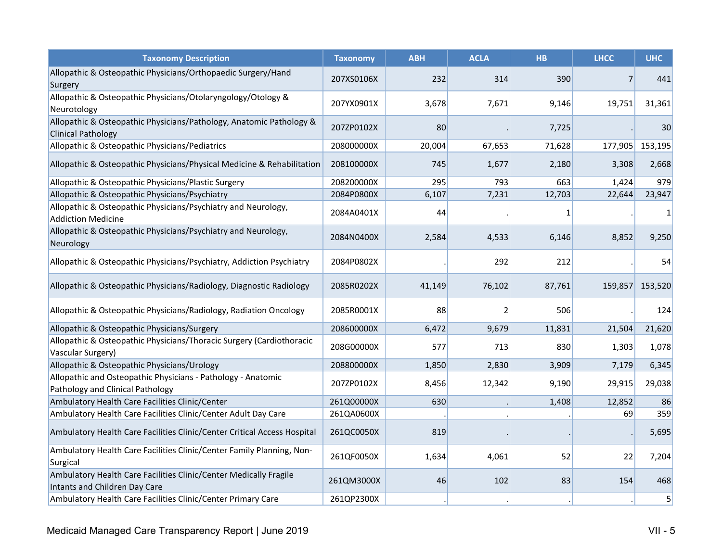| <b>Taxonomy Description</b>                                                                        | <b>Taxonomy</b> | <b>ABH</b> | <b>ACLA</b>    | <b>HB</b> | <b>LHCC</b>    | <b>UHC</b> |
|----------------------------------------------------------------------------------------------------|-----------------|------------|----------------|-----------|----------------|------------|
| Allopathic & Osteopathic Physicians/Orthopaedic Surgery/Hand<br>Surgery                            | 207XS0106X      | 232        | 314            | 390       | $\overline{7}$ | 441        |
| Allopathic & Osteopathic Physicians/Otolaryngology/Otology &<br>Neurotology                        | 207YX0901X      | 3,678      | 7,671          | 9,146     | 19,751         | 31,361     |
| Allopathic & Osteopathic Physicians/Pathology, Anatomic Pathology &<br><b>Clinical Pathology</b>   | 207ZP0102X      | 80         |                | 7,725     |                | 30         |
| Allopathic & Osteopathic Physicians/Pediatrics                                                     | 208000000X      | 20,004     | 67,653         | 71,628    | 177,905        | 153,195    |
| Allopathic & Osteopathic Physicians/Physical Medicine & Rehabilitation                             | 208100000X      | 745        | 1,677          | 2,180     | 3,308          | 2,668      |
| Allopathic & Osteopathic Physicians/Plastic Surgery                                                | 208200000X      | 295        | 793            | 663       | 1,424          | 979        |
| Allopathic & Osteopathic Physicians/Psychiatry                                                     | 2084P0800X      | 6,107      | 7,231          | 12,703    | 22,644         | 23,947     |
| Allopathic & Osteopathic Physicians/Psychiatry and Neurology,<br><b>Addiction Medicine</b>         | 2084A0401X      | 44         |                | 1         |                | 1          |
| Allopathic & Osteopathic Physicians/Psychiatry and Neurology,<br>Neurology                         | 2084N0400X      | 2,584      | 4,533          | 6,146     | 8,852          | 9,250      |
| Allopathic & Osteopathic Physicians/Psychiatry, Addiction Psychiatry                               | 2084P0802X      |            | 292            | 212       |                | 54         |
| Allopathic & Osteopathic Physicians/Radiology, Diagnostic Radiology                                | 2085R0202X      | 41,149     | 76,102         | 87,761    | 159,857        | 153,520    |
| Allopathic & Osteopathic Physicians/Radiology, Radiation Oncology                                  | 2085R0001X      | 88         | $\overline{2}$ | 506       |                | 124        |
| Allopathic & Osteopathic Physicians/Surgery                                                        | 208600000X      | 6,472      | 9,679          | 11,831    | 21,504         | 21,620     |
| Allopathic & Osteopathic Physicians/Thoracic Surgery (Cardiothoracic<br>Vascular Surgery)          | 208G00000X      | 577        | 713            | 830       | 1,303          | 1,078      |
| Allopathic & Osteopathic Physicians/Urology                                                        | 208800000X      | 1,850      | 2,830          | 3,909     | 7,179          | 6,345      |
| Allopathic and Osteopathic Physicians - Pathology - Anatomic<br>Pathology and Clinical Pathology   | 207ZP0102X      | 8,456      | 12,342         | 9,190     | 29,915         | 29,038     |
| Ambulatory Health Care Facilities Clinic/Center                                                    | 261Q00000X      | 630        |                | 1,408     | 12,852         | 86         |
| Ambulatory Health Care Facilities Clinic/Center Adult Day Care                                     | 261QA0600X      |            |                |           | 69             | 359        |
| Ambulatory Health Care Facilities Clinic/Center Critical Access Hospital                           | 261QC0050X      | 819        |                |           |                | 5,695      |
| Ambulatory Health Care Facilities Clinic/Center Family Planning, Non-<br>Surgical                  | 261QF0050X      | 1,634      | 4,061          | 52        | 22             | 7,204      |
| Ambulatory Health Care Facilities Clinic/Center Medically Fragile<br>Intants and Children Day Care | 261QM3000X      | 46         | 102            | 83        | 154            | 468        |
| Ambulatory Health Care Facilities Clinic/Center Primary Care                                       | 261QP2300X      |            |                |           |                | 5          |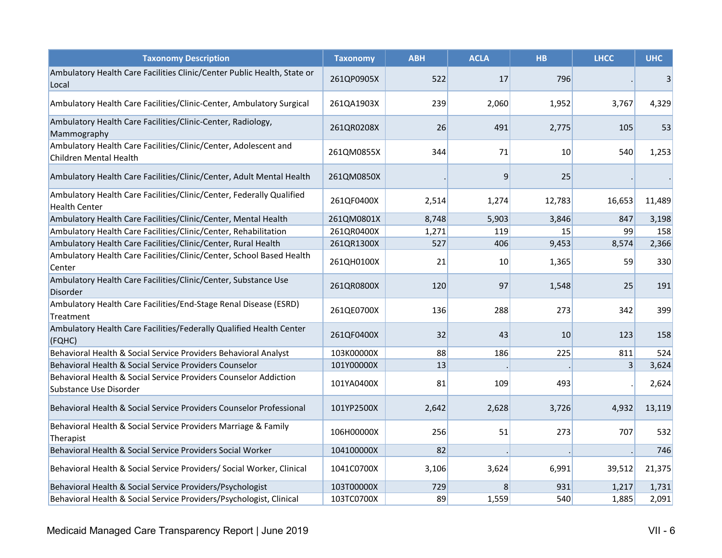| <b>Taxonomy Description</b>                                                                  | <b>Taxonomy</b> | <b>ABH</b> | <b>ACLA</b> | <b>HB</b> | <b>LHCC</b> | <b>UHC</b> |
|----------------------------------------------------------------------------------------------|-----------------|------------|-------------|-----------|-------------|------------|
| Ambulatory Health Care Facilities Clinic/Center Public Health, State or<br>Local             | 261QP0905X      | 522        | 17          | 796       |             | 3          |
| Ambulatory Health Care Facilities/Clinic-Center, Ambulatory Surgical                         | 261QA1903X      | 239        | 2,060       | 1,952     | 3,767       | 4,329      |
| Ambulatory Health Care Facilities/Clinic-Center, Radiology,<br>Mammography                   | 261QR0208X      | 26         | 491         | 2,775     | 105         | 53         |
| Ambulatory Health Care Facilities/Clinic/Center, Adolescent and<br>Children Mental Health    | 261QM0855X      | 344        | 71          | 10        | 540         | 1,253      |
| Ambulatory Health Care Facilities/Clinic/Center, Adult Mental Health                         | 261QM0850X      |            | 9           | 25        |             |            |
| Ambulatory Health Care Facilities/Clinic/Center, Federally Qualified<br><b>Health Center</b> | 261QF0400X      | 2,514      | 1,274       | 12,783    | 16,653      | 11,489     |
| Ambulatory Health Care Facilities/Clinic/Center, Mental Health                               | 261QM0801X      | 8,748      | 5,903       | 3,846     | 847         | 3,198      |
| Ambulatory Health Care Facilities/Clinic/Center, Rehabilitation                              | 261QR0400X      | 1,271      | 119         | 15        | 99          | 158        |
| Ambulatory Health Care Facilities/Clinic/Center, Rural Health                                | 261QR1300X      | 527        | 406         | 9,453     | 8,574       | 2,366      |
| Ambulatory Health Care Facilities/Clinic/Center, School Based Health<br>Center               | 261QH0100X      | 21         | 10          | 1,365     | 59          | 330        |
| Ambulatory Health Care Facilities/Clinic/Center, Substance Use<br><b>Disorder</b>            | 261QR0800X      | 120        | 97          | 1,548     | 25          | 191        |
| Ambulatory Health Care Facilities/End-Stage Renal Disease (ESRD)<br>Treatment                | 261QE0700X      | 136        | 288         | 273       | 342         | 399        |
| Ambulatory Health Care Facilities/Federally Qualified Health Center<br>(FQHC)                | 261QF0400X      | 32         | 43          | 10        | 123         | 158        |
| Behavioral Health & Social Service Providers Behavioral Analyst                              | 103K00000X      | 88         | 186         | 225       | 811         | 524        |
| Behavioral Health & Social Service Providers Counselor                                       | 101Y00000X      | 13         |             |           | 3           | 3,624      |
| Behavioral Health & Social Service Providers Counselor Addiction<br>Substance Use Disorder   | 101YA0400X      | 81         | 109         | 493       |             | 2,624      |
| Behavioral Health & Social Service Providers Counselor Professional                          | 101YP2500X      | 2,642      | 2,628       | 3,726     | 4,932       | 13,119     |
| Behavioral Health & Social Service Providers Marriage & Family<br>Therapist                  | 106H00000X      | 256        | 51          | 273       | 707         | 532        |
| Behavioral Health & Social Service Providers Social Worker                                   | 104100000X      | 82         |             |           |             | 746        |
| Behavioral Health & Social Service Providers/ Social Worker, Clinical                        | 1041C0700X      | 3,106      | 3,624       | 6,991     | 39,512      | 21,375     |
| Behavioral Health & Social Service Providers/Psychologist                                    | 103T00000X      | 729        | 8           | 931       | 1,217       | 1,731      |
| Behavioral Health & Social Service Providers/Psychologist, Clinical                          | 103TC0700X      | 89         | 1,559       | 540       | 1,885       | 2,091      |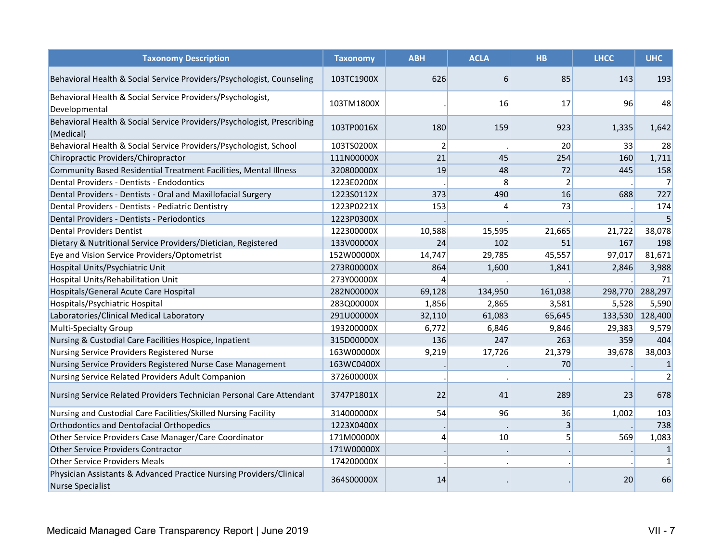| <b>Taxonomy Description</b>                                                                    | <b>Taxonomy</b> | <b>ABH</b>     | <b>ACLA</b>    | <b>HB</b>      | <b>LHCC</b> | <b>UHC</b>     |
|------------------------------------------------------------------------------------------------|-----------------|----------------|----------------|----------------|-------------|----------------|
| Behavioral Health & Social Service Providers/Psychologist, Counseling                          | 103TC1900X      | 626            | 6              | 85             | 143         | 193            |
| Behavioral Health & Social Service Providers/Psychologist,<br>Developmental                    | 103TM1800X      |                | 16             | 17             | 96          | 48             |
| Behavioral Health & Social Service Providers/Psychologist, Prescribing<br>(Medical)            | 103TP0016X      | 180            | 159            | 923            | 1,335       | 1,642          |
| Behavioral Health & Social Service Providers/Psychologist, School                              | 103TS0200X      | $\overline{2}$ |                | 20             | 33          | 28             |
| Chiropractic Providers/Chiropractor                                                            | 111N00000X      | 21             | 45             | 254            | 160         | 1,711          |
| Community Based Residential Treatment Facilities, Mental Illness                               | 320800000X      | 19             | 48             | 72             | 445         | 158            |
| Dental Providers - Dentists - Endodontics                                                      | 1223E0200X      |                | 8              | $\overline{2}$ |             | $\overline{7}$ |
| Dental Providers - Dentists - Oral and Maxillofacial Surgery                                   | 1223S0112X      | 373            | 490            | 16             | 688         | 727            |
| Dental Providers - Dentists - Pediatric Dentistry                                              | 1223P0221X      | 153            | $\overline{4}$ | 73             |             | 174            |
| Dental Providers - Dentists - Periodontics                                                     | 1223P0300X      |                |                |                |             | 5              |
| <b>Dental Providers Dentist</b>                                                                | 122300000X      | 10,588         | 15,595         | 21,665         | 21,722      | 38,078         |
| Dietary & Nutritional Service Providers/Dietician, Registered                                  | 133V00000X      | 24             | 102            | 51             | 167         | 198            |
| Eye and Vision Service Providers/Optometrist                                                   | 152W00000X      | 14,747         | 29,785         | 45,557         | 97,017      | 81,671         |
| Hospital Units/Psychiatric Unit                                                                | 273R00000X      | 864            | 1,600          | 1,841          | 2,846       | 3,988          |
| Hospital Units/Rehabilitation Unit                                                             | 273Y00000X      | 4              |                |                |             | 71             |
| Hospitals/General Acute Care Hospital                                                          | 282N00000X      | 69,128         | 134,950        | 161,038        | 298,770     | 288,297        |
| Hospitals/Psychiatric Hospital                                                                 | 283Q00000X      | 1,856          | 2,865          | 3,581          | 5,528       | 5,590          |
| Laboratories/Clinical Medical Laboratory                                                       | 291U00000X      | 32,110         | 61,083         | 65,645         | 133,530     | 128,400        |
| <b>Multi-Specialty Group</b>                                                                   | 193200000X      | 6,772          | 6,846          | 9,846          | 29,383      | 9,579          |
| Nursing & Custodial Care Facilities Hospice, Inpatient                                         | 315D00000X      | 136            | 247            | 263            | 359         | 404            |
| Nursing Service Providers Registered Nurse                                                     | 163W00000X      | 9,219          | 17,726         | 21,379         | 39,678      | 38,003         |
| Nursing Service Providers Registered Nurse Case Management                                     | 163WC0400X      |                |                | 70             |             | 1              |
| Nursing Service Related Providers Adult Companion                                              | 372600000X      |                |                |                |             | $\overline{2}$ |
| Nursing Service Related Providers Technician Personal Care Attendant                           | 3747P1801X      | 22             | 41             | 289            | 23          | 678            |
| Nursing and Custodial Care Facilities/Skilled Nursing Facility                                 | 314000000X      | 54             | 96             | 36             | 1,002       | 103            |
| <b>Orthodontics and Dentofacial Orthopedics</b>                                                | 1223X0400X      |                |                | 3              |             | 738            |
| Other Service Providers Case Manager/Care Coordinator                                          | 171M00000X      | $\overline{4}$ | 10             | 5              | 569         | 1,083          |
| <b>Other Service Providers Contractor</b>                                                      | 171W00000X      |                |                |                |             | $1\,$          |
| <b>Other Service Providers Meals</b>                                                           | 174200000X      |                |                |                |             | $\mathbf{1}$   |
| Physician Assistants & Advanced Practice Nursing Providers/Clinical<br><b>Nurse Specialist</b> | 364S00000X      | 14             |                |                | 20          | 66             |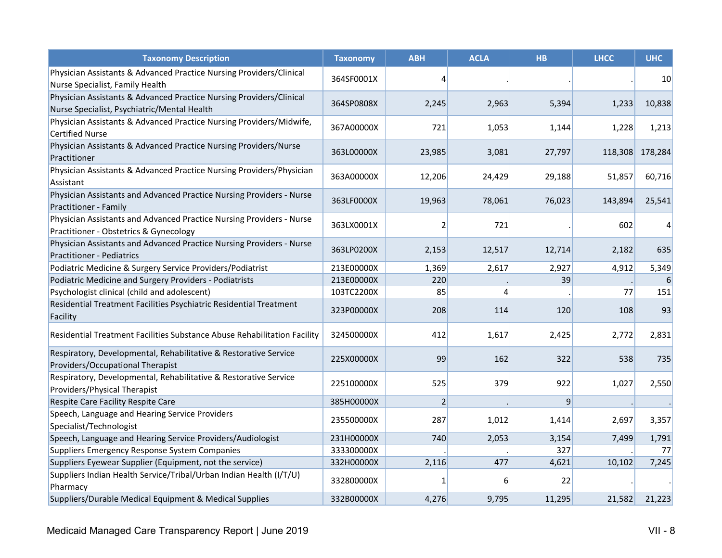| <b>Taxonomy Description</b>                                                                                        | <b>Taxonomy</b> | <b>ABH</b>     | <b>ACLA</b> | <b>HB</b> | <b>LHCC</b> | <b>UHC</b>      |
|--------------------------------------------------------------------------------------------------------------------|-----------------|----------------|-------------|-----------|-------------|-----------------|
| Physician Assistants & Advanced Practice Nursing Providers/Clinical<br>Nurse Specialist, Family Health             | 364SF0001X      | $\vert$        |             |           |             | 10              |
| Physician Assistants & Advanced Practice Nursing Providers/Clinical<br>Nurse Specialist, Psychiatric/Mental Health | 364SP0808X      | 2,245          | 2,963       | 5,394     | 1,233       | 10,838          |
| Physician Assistants & Advanced Practice Nursing Providers/Midwife,<br><b>Certified Nurse</b>                      | 367A00000X      | 721            | 1,053       | 1,144     | 1,228       | 1,213           |
| Physician Assistants & Advanced Practice Nursing Providers/Nurse<br>Practitioner                                   | 363L00000X      | 23,985         | 3,081       | 27,797    |             | 118,308 178,284 |
| Physician Assistants & Advanced Practice Nursing Providers/Physician<br>Assistant                                  | 363A00000X      | 12,206         | 24,429      | 29,188    | 51,857      | 60,716          |
| Physician Assistants and Advanced Practice Nursing Providers - Nurse<br>Practitioner - Family                      | 363LF0000X      | 19,963         | 78,061      | 76,023    | 143,894     | 25,541          |
| Physician Assistants and Advanced Practice Nursing Providers - Nurse<br>Practitioner - Obstetrics & Gynecology     | 363LX0001X      | $\overline{2}$ | 721         |           | 602         | 4               |
| Physician Assistants and Advanced Practice Nursing Providers - Nurse<br><b>Practitioner - Pediatrics</b>           | 363LP0200X      | 2,153          | 12,517      | 12,714    | 2,182       | 635             |
| Podiatric Medicine & Surgery Service Providers/Podiatrist                                                          | 213E00000X      | 1,369          | 2,617       | 2,927     | 4,912       | 5,349           |
| Podiatric Medicine and Surgery Providers - Podiatrists                                                             | 213E00000X      | 220            |             | 39        |             | 6               |
| Psychologist clinical (child and adolescent)                                                                       | 103TC2200X      | 85             | 4           |           | 77          | 151             |
| Residential Treatment Facilities Psychiatric Residential Treatment<br>Facility                                     | 323P00000X      | 208            | 114         | 120       | 108         | 93              |
| Residential Treatment Facilities Substance Abuse Rehabilitation Facility                                           | 324500000X      | 412            | 1,617       | 2,425     | 2,772       | 2,831           |
| Respiratory, Developmental, Rehabilitative & Restorative Service<br>Providers/Occupational Therapist               | 225X00000X      | 99             | 162         | 322       | 538         | 735             |
| Respiratory, Developmental, Rehabilitative & Restorative Service<br>Providers/Physical Therapist                   | 225100000X      | 525            | 379         | 922       | 1,027       | 2,550           |
| Respite Care Facility Respite Care                                                                                 | 385H00000X      | $\overline{2}$ |             | 9         |             |                 |
| Speech, Language and Hearing Service Providers<br>Specialist/Technologist                                          | 235500000X      | 287            | 1,012       | 1,414     | 2,697       | 3,357           |
| Speech, Language and Hearing Service Providers/Audiologist                                                         | 231H00000X      | 740            | 2,053       | 3,154     | 7,499       | 1,791           |
| Suppliers Emergency Response System Companies                                                                      | 333300000X      |                |             | 327       |             | 77              |
| Suppliers Eyewear Supplier (Equipment, not the service)                                                            | 332H00000X      | 2,116          | 477         | 4,621     | 10,102      | 7,245           |
| Suppliers Indian Health Service/Tribal/Urban Indian Health (I/T/U)<br>Pharmacy                                     | 332800000X      | 1              | 6           | 22        |             |                 |
| Suppliers/Durable Medical Equipment & Medical Supplies                                                             | 332B00000X      | 4,276          | 9,795       | 11,295    | 21,582      | 21,223          |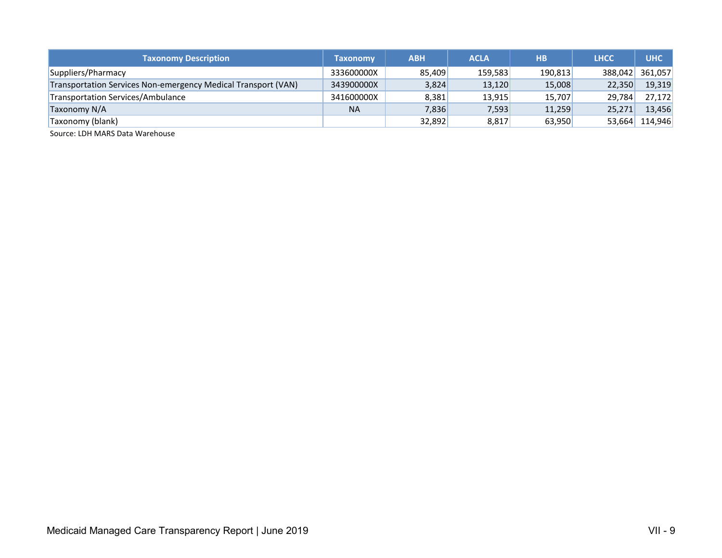| <b>Taxonomy Description</b>                                   | <b>Taxonomy</b> | <b>ABH</b> | <b>ACLA</b> | <b>HB</b> | <b>LHCC</b> | <b>UHC</b>     |
|---------------------------------------------------------------|-----------------|------------|-------------|-----------|-------------|----------------|
| Suppliers/Pharmacy                                            | 333600000X      | 85,409     | 159.583     | 190,813   | 388.042     | 361.057        |
| Transportation Services Non-emergency Medical Transport (VAN) | 343900000X      | 3,824      | 13,120      | 15,008    | 22,350      | 19,319         |
| Transportation Services/Ambulance                             | 341600000X      | 8,381      | 13,915      | 15,707    | 29,784      | 27,172         |
| Taxonomy N/A                                                  | <b>NA</b>       | 7,836      | 7,593       | 11,259    | 25,271      | 13,456         |
| Taxonomy (blank)                                              |                 | 32,892     | 8,817       | 63,950    |             | 53,664 114,946 |

Source: LDH MARS Data Warehouse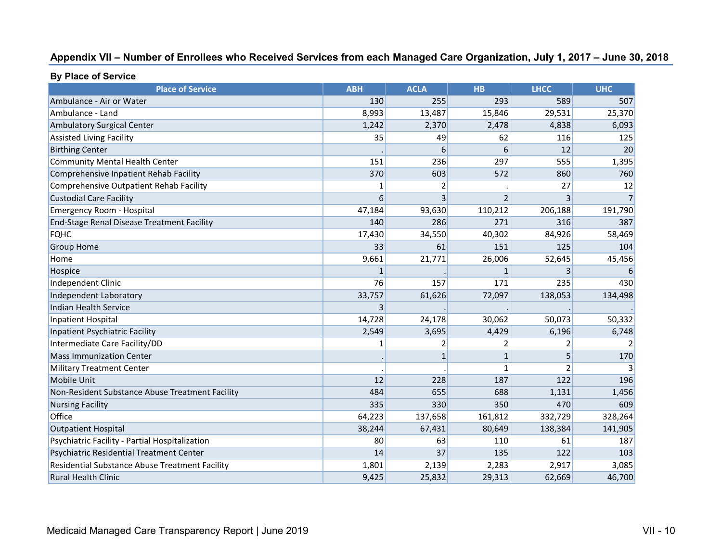## **Appendix VII – Number of Enrollees who Received Services from each Managed Care Organization, July 1, 2017 – June 30, 2018**

| <b>Place of Service</b>                         | <b>ABH</b> | <b>ACLA</b>  | <b>HB</b>               | <b>LHCC</b> | <b>UHC</b>     |
|-------------------------------------------------|------------|--------------|-------------------------|-------------|----------------|
| Ambulance - Air or Water                        | 130        | 255          | 293                     | 589         | 507            |
| Ambulance - Land                                | 8,993      | 13,487       | 15,846                  | 29,531      | 25,370         |
| <b>Ambulatory Surgical Center</b>               | 1,242      | 2,370        | 2,478                   | 4,838       | 6,093          |
| <b>Assisted Living Facility</b>                 | 35         | 49           | 62                      | 116         | 125            |
| <b>Birthing Center</b>                          |            | 6            | 6                       | 12          | 20             |
| <b>Community Mental Health Center</b>           | 151        | 236          | 297                     | 555         | 1,395          |
| Comprehensive Inpatient Rehab Facility          | 370        | 603          | 572                     | 860         | 760            |
| Comprehensive Outpatient Rehab Facility         | 1          | 2            |                         | 27          | 12             |
| <b>Custodial Care Facility</b>                  | 6          | 3            | $\overline{2}$          | 3           | 7 <sup>1</sup> |
| <b>Emergency Room - Hospital</b>                | 47,184     | 93,630       | 110,212                 | 206,188     | 191,790        |
| End-Stage Renal Disease Treatment Facility      | 140        | 286          | 271                     | 316         | 387            |
| <b>FQHC</b>                                     | 17,430     | 34,550       | 40,302                  | 84,926      | 58,469         |
| Group Home                                      | 33         | 61           | 151                     | 125         | 104            |
| Home                                            | 9,661      | 21,771       | 26,006                  | 52,645      | 45,456         |
| <b>Hospice</b>                                  |            |              |                         | 3           | 6              |
| Independent Clinic                              | 76         | 157          | 171                     | 235         | 430            |
| Independent Laboratory                          | 33,757     | 61,626       | 72,097                  | 138,053     | 134,498        |
| <b>Indian Health Service</b>                    | 3          |              |                         |             |                |
| <b>Inpatient Hospital</b>                       | 14,728     | 24,178       | 30,062                  | 50,073      | 50,332         |
| Inpatient Psychiatric Facility                  | 2,549      | 3,695        | 4,429                   | 6,196       | 6,748          |
| Intermediate Care Facility/DD                   |            | 2            | $\overline{\mathbf{c}}$ |             |                |
| <b>Mass Immunization Center</b>                 |            | $\mathbf{1}$ | 1                       | 5           | 170            |
| <b>Military Treatment Center</b>                |            |              | $\mathbf{1}$            | 2           | 3              |
| Mobile Unit                                     | 12         | 228          | 187                     | 122         | 196            |
| Non-Resident Substance Abuse Treatment Facility | 484        | 655          | 688                     | 1,131       | 1,456          |
| <b>Nursing Facility</b>                         | 335        | 330          | 350                     | 470         | 609            |
| Office                                          | 64,223     | 137,658      | 161,812                 | 332,729     | 328,264        |
| <b>Outpatient Hospital</b>                      | 38,244     | 67,431       | 80,649                  | 138,384     | 141,905        |
| Psychiatric Facility - Partial Hospitalization  | 80         | 63           | 110                     | 61          | 187            |
| Psychiatric Residential Treatment Center        | 14         | 37           | 135                     | 122         | 103            |
| Residential Substance Abuse Treatment Facility  | 1,801      | 2,139        | 2,283                   | 2,917       | 3,085          |
| Rural Health Clinic                             | 9,425      | 25,832       | 29,313                  | 62,669      | 46,700         |

## **By Place of Service**